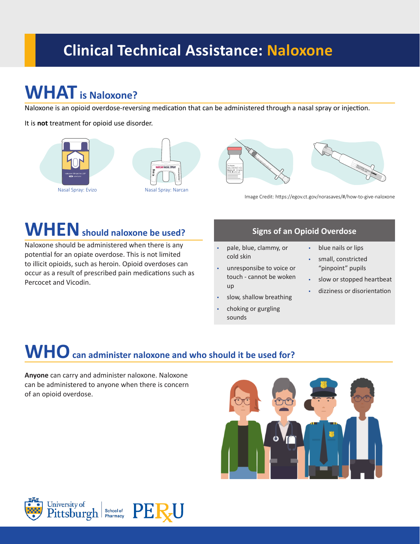# **Clinical Technical Assistance: Naloxone**

# **WHAT is Naloxone?**

Naloxone is an opioid overdose-reversing medication that can be administered through a nasal spray or injection.

It is **not** treatment for opioid use disorder.







Image Credit: https://egov.ct.gov/norasaves/#/how-to-give-naloxone

# **WHEN should naloxone be used?**

Naloxone should be administered when there is any potential for an opiate overdose. This is not limited to illicit opioids, such as heroin. Opioid overdoses can occur as a result of prescribed pain medications such as Percocet and Vicodin.

### **Signs of an Opioid Overdose**

- pale, blue, clammy, or cold skin
- unresponsibe to voice or touch - cannot be woken up
- slow, shallow breathing
- choking or gurgling sounds
- blue nails or lips
- small, constricted "pinpoint" pupils
- slow or stopped heartbeat
- dizziness or disorientation

# **WHO can administer naloxone and who should it be used for?**

**Anyone** can carry and administer naloxone. Naloxone can be administered to anyone when there is concern of an opioid overdose.





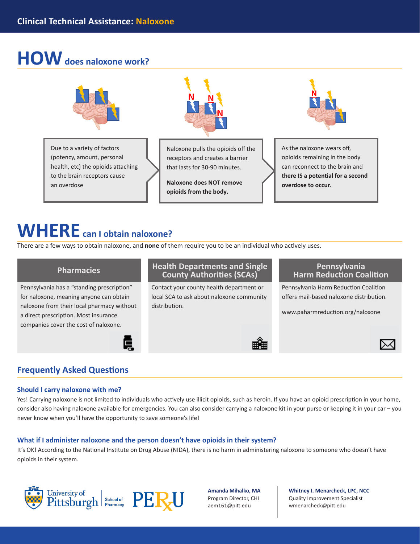# **HOW does naloxone work?**



Due to a variety of factors (potency, amount, personal health, etc) the opioids attaching to the brain receptors cause an overdose



Naloxone pulls the opioids off the receptors and creates a barrier that lasts for 30-90 minutes.

**Naloxone does NOT remove opioids from the body.**



As the naloxone wears off, opioids remaining in the body can reconnect to the brain and **there IS a potential for a second overdose to occur.**

## **WHERE can I obtain naloxone?**

There are a few ways to obtain naloxone, and **none** of them require you to be an individual who actively uses.

Pennsylvania has a "standing prescription" for naloxone, meaning anyone can obtain naloxone from their local pharmacy without a direct prescription. Most insurance companies cover the cost of naloxone.

### **Pharmacies Health Departments and Single County Authorities (SCAs)**

Contact your county health department or local SCA to ask about naloxone community distribution.

### **Pennsylvania Harm Reduction Coalition**

Pennsylvania Harm Reduction Coalition offers mail-based naloxone distribution.

www.paharmreduction.org/naloxone



## **Frequently Asked Questions**

#### **Should I carry naloxone with me?**

Yes! Carrying naloxone is not limited to individuals who actively use illicit opioids, such as heroin. If you have an opioid prescription in your home, consider also having naloxone available for emergencies. You can also consider carrying a naloxone kit in your purse or keeping it in your car – you never know when you'll have the opportunity to save someone's life!

### **What if I administer naloxone and the person doesn't have opioids in their system?**

Ē

It's OK! According to the National Institute on Drug Abuse (NIDA), there is no harm in administering naloxone to someone who doesn't have opioids in their system.



**Amanda Mihalko, MA** Program Director, CHI aem161@pitt.edu

**Whitney I. Menarcheck, LPC, NCC** Quality Improvement Specialist [wmenarcheck@pitt.edu](mailto:wmenarcheck%40pitt.edu?subject=)